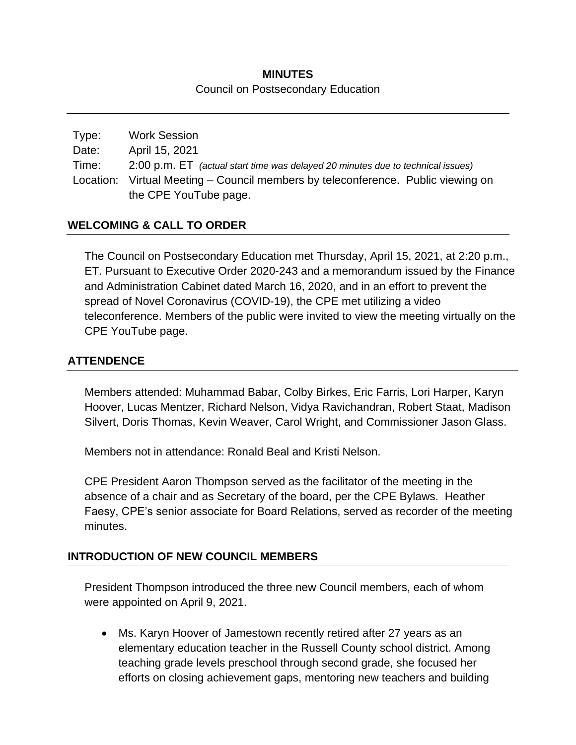# **MINUTES** Council on Postsecondary Education

| Type: | <b>Work Session</b>                                                              |
|-------|----------------------------------------------------------------------------------|
| Date: | April 15, 2021                                                                   |
| Time: | 2:00 p.m. ET (actual start time was delayed 20 minutes due to technical issues)  |
|       | Location: Virtual Meeting – Council members by teleconference. Public viewing on |
|       | the CPE YouTube page.                                                            |

## **WELCOMING & CALL TO ORDER**

The Council on Postsecondary Education met Thursday, April 15, 2021, at 2:20 p.m., ET. Pursuant to Executive Order 2020-243 and a memorandum issued by the Finance and Administration Cabinet dated March 16, 2020, and in an effort to prevent the spread of Novel Coronavirus (COVID-19), the CPE met utilizing a video teleconference. Members of the public were invited to view the meeting virtually on the CPE YouTube page.

## **ATTENDENCE**

Members attended: Muhammad Babar, Colby Birkes, Eric Farris, Lori Harper, Karyn Hoover, Lucas Mentzer, Richard Nelson, Vidya Ravichandran, Robert Staat, Madison Silvert, Doris Thomas, Kevin Weaver, Carol Wright, and Commissioner Jason Glass.

Members not in attendance: Ronald Beal and Kristi Nelson.

CPE President Aaron Thompson served as the facilitator of the meeting in the absence of a chair and as Secretary of the board, per the CPE Bylaws. Heather Faesy, CPE's senior associate for Board Relations, served as recorder of the meeting minutes.

### **INTRODUCTION OF NEW COUNCIL MEMBERS**

President Thompson introduced the three new Council members, each of whom were appointed on April 9, 2021.

 Ms. Karyn Hoover of Jamestown recently retired after 27 years as an elementary education teacher in the Russell County school district. Among teaching grade levels preschool through second grade, she focused her efforts on closing achievement gaps, mentoring new teachers and building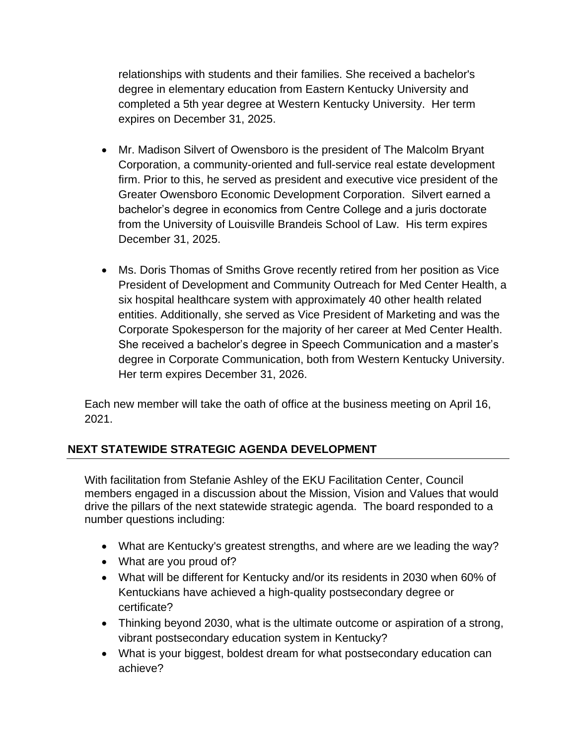relationships with students and their families. She received a bachelor's degree in elementary education from Eastern Kentucky University and completed a 5th year degree at Western Kentucky University. Her term expires on December 31, 2025.

- Mr. Madison Silvert of Owensboro is the president of The Malcolm Bryant Corporation, a community-oriented and full-service real estate development firm. Prior to this, he served as president and executive vice president of the Greater Owensboro Economic Development Corporation. Silvert earned a bachelor's degree in economics from Centre College and a juris doctorate from the University of Louisville Brandeis School of Law. His term expires December 31, 2025.
- Ms. Doris Thomas of Smiths Grove recently retired from her position as Vice President of Development and Community Outreach for Med Center Health, a six hospital healthcare system with approximately 40 other health related entities. Additionally, she served as Vice President of Marketing and was the Corporate Spokesperson for the majority of her career at Med Center Health. She received a bachelor's degree in Speech Communication and a master's degree in Corporate Communication, both from Western Kentucky University. Her term expires December 31, 2026.

Each new member will take the oath of office at the business meeting on April 16, 2021.

# **NEXT STATEWIDE STRATEGIC AGENDA DEVELOPMENT**

With facilitation from Stefanie Ashley of the EKU Facilitation Center, Council members engaged in a discussion about the Mission, Vision and Values that would drive the pillars of the next statewide strategic agenda. The board responded to a number questions including:

- What are Kentucky's greatest strengths, and where are we leading the way?
- What are you proud of?
- What will be different for Kentucky and/or its residents in 2030 when 60% of Kentuckians have achieved a high-quality postsecondary degree or certificate?
- Thinking beyond 2030, what is the ultimate outcome or aspiration of a strong, vibrant postsecondary education system in Kentucky?
- What is your biggest, boldest dream for what postsecondary education can achieve?